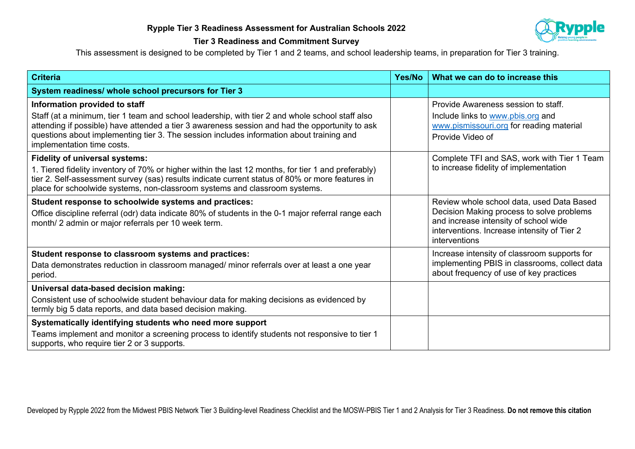

## **Tier 3 Readiness and Commitment Survey**

This assessment is designed to be completed by Tier 1 and 2 teams, and school leadership teams, in preparation for Tier 3 training.

| <b>Criteria</b>                                                                                                                                                                                                                                                                                                                                              | Yes/No | What we can do to increase this                                                                                                                                                                 |
|--------------------------------------------------------------------------------------------------------------------------------------------------------------------------------------------------------------------------------------------------------------------------------------------------------------------------------------------------------------|--------|-------------------------------------------------------------------------------------------------------------------------------------------------------------------------------------------------|
| System readiness/ whole school precursors for Tier 3                                                                                                                                                                                                                                                                                                         |        |                                                                                                                                                                                                 |
| Information provided to staff<br>Staff (at a minimum, tier 1 team and school leadership, with tier 2 and whole school staff also<br>attending if possible) have attended a tier 3 awareness session and had the opportunity to ask<br>questions about implementing tier 3. The session includes information about training and<br>implementation time costs. |        | Provide Awareness session to staff.<br>Include links to www.pbis.org and<br>www.pismissouri.org for reading material<br>Provide Video of                                                        |
| <b>Fidelity of universal systems:</b><br>1. Tiered fidelity inventory of 70% or higher within the last 12 months, for tier 1 and preferably)<br>tier 2. Self-assessment survey (sas) results indicate current status of 80% or more features in<br>place for schoolwide systems, non-classroom systems and classroom systems.                                |        | Complete TFI and SAS, work with Tier 1 Team<br>to increase fidelity of implementation                                                                                                           |
| Student response to schoolwide systems and practices:<br>Office discipline referral (odr) data indicate 80% of students in the 0-1 major referral range each<br>month/ 2 admin or major referrals per 10 week term.                                                                                                                                          |        | Review whole school data, used Data Based<br>Decision Making process to solve problems<br>and increase intensity of school wide<br>interventions. Increase intensity of Tier 2<br>interventions |
| Student response to classroom systems and practices:<br>Data demonstrates reduction in classroom managed/ minor referrals over at least a one year<br>period.                                                                                                                                                                                                |        | Increase intensity of classroom supports for<br>implementing PBIS in classrooms, collect data<br>about frequency of use of key practices                                                        |
| Universal data-based decision making:<br>Consistent use of schoolwide student behaviour data for making decisions as evidenced by<br>termly big 5 data reports, and data based decision making.                                                                                                                                                              |        |                                                                                                                                                                                                 |
| Systematically identifying students who need more support<br>Teams implement and monitor a screening process to identify students not responsive to tier 1<br>supports, who require tier 2 or 3 supports.                                                                                                                                                    |        |                                                                                                                                                                                                 |

Developed by Rypple 2022 from the Midwest PBIS Network Tier 3 Building-level Readiness Checklist and the MOSW-PBIS Tier 1 and 2 Analysis for Tier 3 Readiness. **Do not remove this citation**